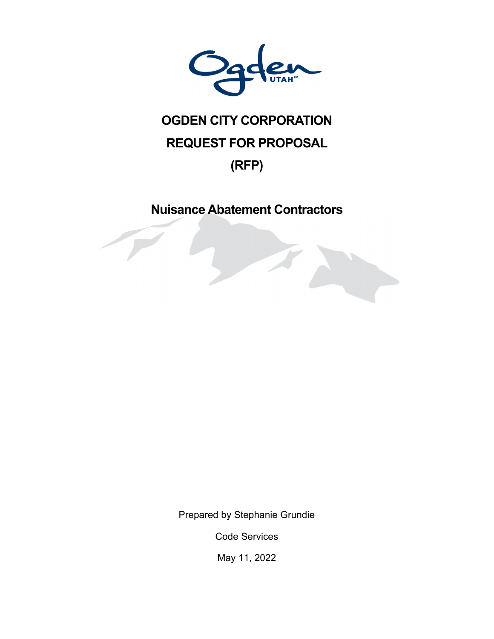

# **OGDEN CITY CORPORATION REQUEST FOR PROPOSAL (RFP)**

# **Nuisance Abatement Contractors**

Prepared by Stephanie Grundie

Code Services

May 11, 2022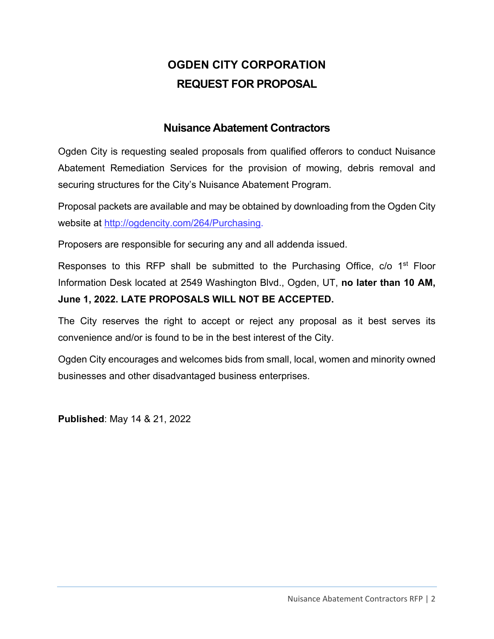# **OGDEN CITY CORPORATION REQUEST FOR PROPOSAL**

# **Nuisance Abatement Contractors**

Ogden City is requesting sealed proposals from qualified offerors to conduct Nuisance Abatement Remediation Services for the provision of mowing, debris removal and securing structures for the City's Nuisance Abatement Program.

Proposal packets are available and may be obtained by downloading from the Ogden City website at http://ogdencity.com/264/Purchasing.

Proposers are responsible for securing any and all addenda issued.

Responses to this RFP shall be submitted to the Purchasing Office, c/o 1<sup>st</sup> Floor Information Desk located at 2549 Washington Blvd., Ogden, UT, **no later than 10 AM, June 1, 2022. LATE PROPOSALS WILL NOT BE ACCEPTED.** 

The City reserves the right to accept or reject any proposal as it best serves its convenience and/or is found to be in the best interest of the City.

Ogden City encourages and welcomes bids from small, local, women and minority owned businesses and other disadvantaged business enterprises.

**Published**: May 14 & 21, 2022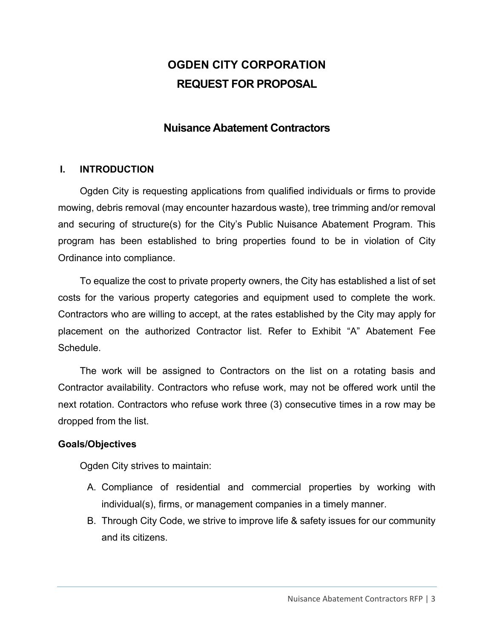# **OGDEN CITY CORPORATION REQUEST FOR PROPOSAL**

## **Nuisance Abatement Contractors**

#### **I. INTRODUCTION**

Ogden City is requesting applications from qualified individuals or firms to provide mowing, debris removal (may encounter hazardous waste), tree trimming and/or removal and securing of structure(s) for the City's Public Nuisance Abatement Program. This program has been established to bring properties found to be in violation of City Ordinance into compliance.

To equalize the cost to private property owners, the City has established a list of set costs for the various property categories and equipment used to complete the work. Contractors who are willing to accept, at the rates established by the City may apply for placement on the authorized Contractor list. Refer to Exhibit "A" Abatement Fee **Schedule** 

The work will be assigned to Contractors on the list on a rotating basis and Contractor availability. Contractors who refuse work, may not be offered work until the next rotation. Contractors who refuse work three (3) consecutive times in a row may be dropped from the list.

#### **Goals/Objectives**

Ogden City strives to maintain:

- A. Compliance of residential and commercial properties by working with individual(s), firms, or management companies in a timely manner.
- B. Through City Code, we strive to improve life & safety issues for our community and its citizens.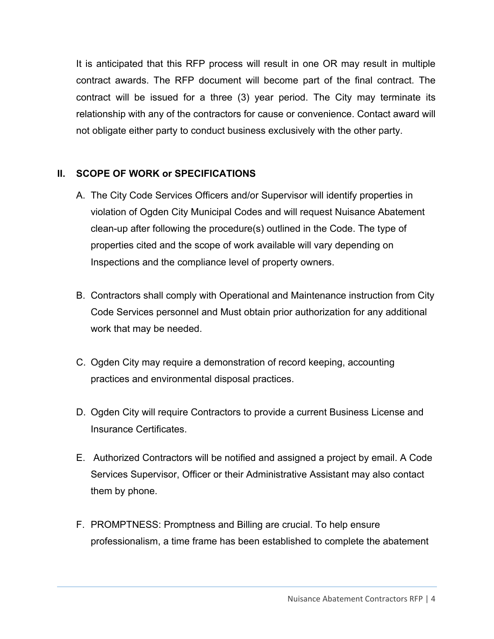It is anticipated that this RFP process will result in one OR may result in multiple contract awards. The RFP document will become part of the final contract. The contract will be issued for a three (3) year period. The City may terminate its relationship with any of the contractors for cause or convenience. Contact award will not obligate either party to conduct business exclusively with the other party.

### **II. SCOPE OF WORK or SPECIFICATIONS**

- A. The City Code Services Officers and/or Supervisor will identify properties in violation of Ogden City Municipal Codes and will request Nuisance Abatement clean-up after following the procedure(s) outlined in the Code. The type of properties cited and the scope of work available will vary depending on Inspections and the compliance level of property owners.
- B. Contractors shall comply with Operational and Maintenance instruction from City Code Services personnel and Must obtain prior authorization for any additional work that may be needed.
- C. Ogden City may require a demonstration of record keeping, accounting practices and environmental disposal practices.
- D. Ogden City will require Contractors to provide a current Business License and Insurance Certificates.
- E. Authorized Contractors will be notified and assigned a project by email. A Code Services Supervisor, Officer or their Administrative Assistant may also contact them by phone.
- F. PROMPTNESS: Promptness and Billing are crucial. To help ensure professionalism, a time frame has been established to complete the abatement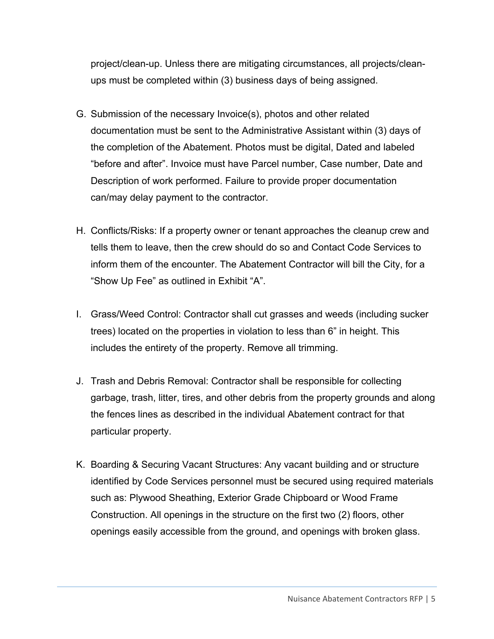project/clean-up. Unless there are mitigating circumstances, all projects/cleanups must be completed within (3) business days of being assigned.

- G. Submission of the necessary Invoice(s), photos and other related documentation must be sent to the Administrative Assistant within (3) days of the completion of the Abatement. Photos must be digital, Dated and labeled "before and after". Invoice must have Parcel number, Case number, Date and Description of work performed. Failure to provide proper documentation can/may delay payment to the contractor.
- H. Conflicts/Risks: If a property owner or tenant approaches the cleanup crew and tells them to leave, then the crew should do so and Contact Code Services to inform them of the encounter. The Abatement Contractor will bill the City, for a "Show Up Fee" as outlined in Exhibit "A".
- I. Grass/Weed Control: Contractor shall cut grasses and weeds (including sucker trees) located on the properties in violation to less than 6" in height. This includes the entirety of the property. Remove all trimming.
- J. Trash and Debris Removal: Contractor shall be responsible for collecting garbage, trash, litter, tires, and other debris from the property grounds and along the fences lines as described in the individual Abatement contract for that particular property.
- K. Boarding & Securing Vacant Structures: Any vacant building and or structure identified by Code Services personnel must be secured using required materials such as: Plywood Sheathing, Exterior Grade Chipboard or Wood Frame Construction. All openings in the structure on the first two (2) floors, other openings easily accessible from the ground, and openings with broken glass.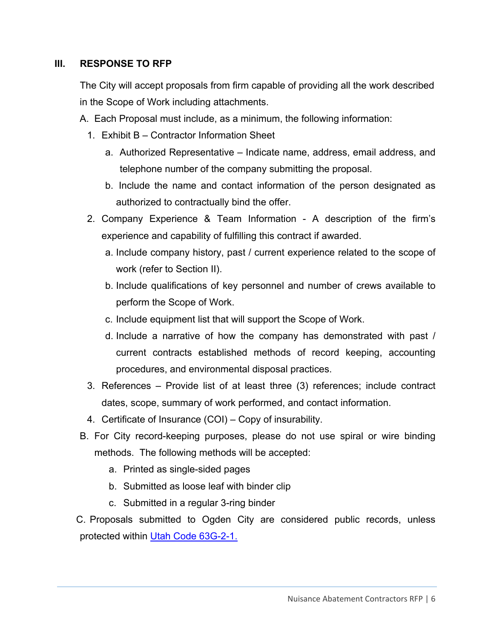#### **III. RESPONSE TO RFP**

The City will accept proposals from firm capable of providing all the work described in the Scope of Work including attachments.

- A. Each Proposal must include, as a minimum, the following information:
	- 1. Exhibit B Contractor Information Sheet
		- a. Authorized Representative Indicate name, address, email address, and telephone number of the company submitting the proposal.
		- b. Include the name and contact information of the person designated as authorized to contractually bind the offer.
	- 2. Company Experience & Team Information A description of the firm's experience and capability of fulfilling this contract if awarded.
		- a. Include company history, past / current experience related to the scope of work (refer to Section II).
		- b. Include qualifications of key personnel and number of crews available to perform the Scope of Work.
		- c. Include equipment list that will support the Scope of Work.
		- d. Include a narrative of how the company has demonstrated with past / current contracts established methods of record keeping, accounting procedures, and environmental disposal practices.
	- 3. References Provide list of at least three (3) references; include contract dates, scope, summary of work performed, and contact information.
	- 4. Certificate of Insurance (COI) Copy of insurability.
- B. For City record-keeping purposes, please do not use spiral or wire binding methods. The following methods will be accepted:
	- a. Printed as single-sided pages
	- b. Submitted as loose leaf with binder clip
	- c. Submitted in a regular 3-ring binder

C. Proposals submitted to Ogden City are considered public records, unless protected within Utah Code 63G-2-1.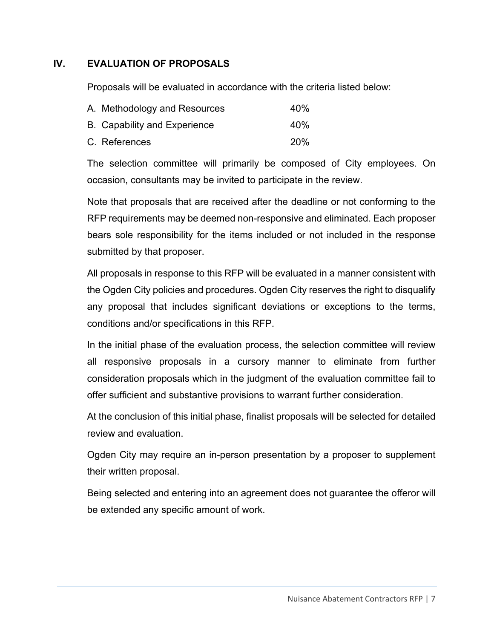### **IV. EVALUATION OF PROPOSALS**

Proposals will be evaluated in accordance with the criteria listed below:

| A. Methodology and Resources        | 40 <sub>%</sub> |
|-------------------------------------|-----------------|
| <b>B.</b> Capability and Experience | 40%             |
| C. References                       | <b>20%</b>      |

The selection committee will primarily be composed of City employees. On occasion, consultants may be invited to participate in the review.

Note that proposals that are received after the deadline or not conforming to the RFP requirements may be deemed non-responsive and eliminated. Each proposer bears sole responsibility for the items included or not included in the response submitted by that proposer.

All proposals in response to this RFP will be evaluated in a manner consistent with the Ogden City policies and procedures. Ogden City reserves the right to disqualify any proposal that includes significant deviations or exceptions to the terms, conditions and/or specifications in this RFP.

In the initial phase of the evaluation process, the selection committee will review all responsive proposals in a cursory manner to eliminate from further consideration proposals which in the judgment of the evaluation committee fail to offer sufficient and substantive provisions to warrant further consideration.

At the conclusion of this initial phase, finalist proposals will be selected for detailed review and evaluation.

Ogden City may require an in-person presentation by a proposer to supplement their written proposal.

Being selected and entering into an agreement does not guarantee the offeror will be extended any specific amount of work.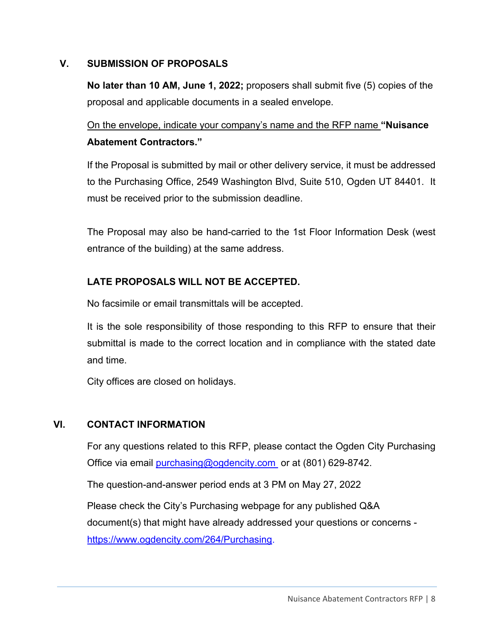#### **V. SUBMISSION OF PROPOSALS**

**No later than 10 AM, June 1, 2022;** proposers shall submit five (5) copies of the proposal and applicable documents in a sealed envelope.

On the envelope, indicate your company's name and the RFP name **"Nuisance Abatement Contractors."**

If the Proposal is submitted by mail or other delivery service, it must be addressed to the Purchasing Office, 2549 Washington Blvd, Suite 510, Ogden UT 84401. It must be received prior to the submission deadline.

The Proposal may also be hand-carried to the 1st Floor Information Desk (west entrance of the building) at the same address.

#### **LATE PROPOSALS WILL NOT BE ACCEPTED.**

No facsimile or email transmittals will be accepted.

It is the sole responsibility of those responding to this RFP to ensure that their submittal is made to the correct location and in compliance with the stated date and time.

City offices are closed on holidays.

#### **VI. CONTACT INFORMATION**

For any questions related to this RFP, please contact the Ogden City Purchasing Office via email purchasing@ogdencity.com or at (801) 629-8742.

The question-and-answer period ends at 3 PM on May 27, 2022

Please check the City's Purchasing webpage for any published Q&A document(s) that might have already addressed your questions or concerns https://www.ogdencity.com/264/Purchasing.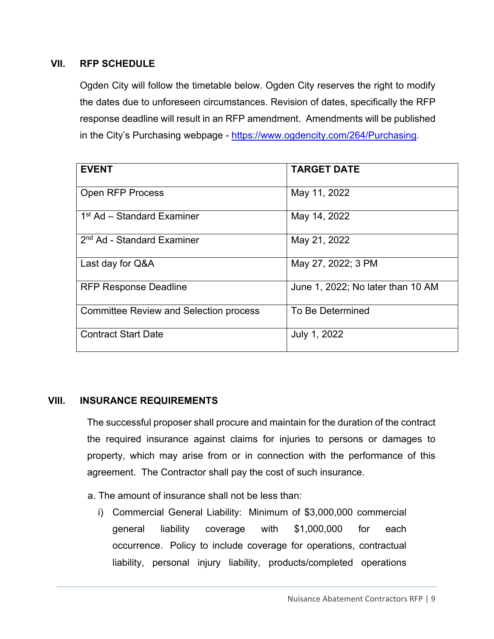#### **VII. RFP SCHEDULE**

Ogden City will follow the timetable below. Ogden City reserves the right to modify the dates due to unforeseen circumstances. Revision of dates, specifically the RFP response deadline will result in an RFP amendment. Amendments will be published in the City's Purchasing webpage - https://www.ogdencity.com/264/Purchasing.

| <b>EVENT</b>                                  | <b>TARGET DATE</b>                |
|-----------------------------------------------|-----------------------------------|
|                                               |                                   |
| <b>Open RFP Process</b>                       | May 11, 2022                      |
|                                               |                                   |
| 1 <sup>st</sup> Ad – Standard Examiner        | May 14, 2022                      |
|                                               |                                   |
| 2 <sup>nd</sup> Ad - Standard Examiner        | May 21, 2022                      |
|                                               |                                   |
| Last day for Q&A                              | May 27, 2022; 3 PM                |
|                                               |                                   |
| <b>RFP Response Deadline</b>                  | June 1, 2022; No later than 10 AM |
|                                               |                                   |
| <b>Committee Review and Selection process</b> | To Be Determined                  |
|                                               |                                   |
| <b>Contract Start Date</b>                    | July 1, 2022                      |
|                                               |                                   |

#### **VIII. INSURANCE REQUIREMENTS**

The successful proposer shall procure and maintain for the duration of the contract the required insurance against claims for injuries to persons or damages to property, which may arise from or in connection with the performance of this agreement. The Contractor shall pay the cost of such insurance.

- a. The amount of insurance shall not be less than:
	- i) Commercial General Liability: Minimum of \$3,000,000 commercial general liability coverage with \$1,000,000 for each occurrence. Policy to include coverage for operations, contractual liability, personal injury liability, products/completed operations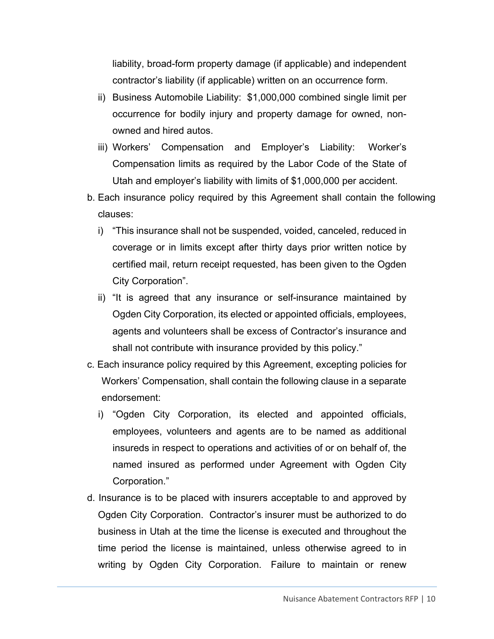liability, broad-form property damage (if applicable) and independent contractor's liability (if applicable) written on an occurrence form.

- ii) Business Automobile Liability: \$1,000,000 combined single limit per occurrence for bodily injury and property damage for owned, nonowned and hired autos.
- iii) Workers' Compensation and Employer's Liability: Worker's Compensation limits as required by the Labor Code of the State of Utah and employer's liability with limits of \$1,000,000 per accident.
- b. Each insurance policy required by this Agreement shall contain the following clauses:
	- i) "This insurance shall not be suspended, voided, canceled, reduced in coverage or in limits except after thirty days prior written notice by certified mail, return receipt requested, has been given to the Ogden City Corporation".
	- ii) "It is agreed that any insurance or self-insurance maintained by Ogden City Corporation, its elected or appointed officials, employees, agents and volunteers shall be excess of Contractor's insurance and shall not contribute with insurance provided by this policy."
- c. Each insurance policy required by this Agreement, excepting policies for Workers' Compensation, shall contain the following clause in a separate endorsement:
	- i) "Ogden City Corporation, its elected and appointed officials, employees, volunteers and agents are to be named as additional insureds in respect to operations and activities of or on behalf of, the named insured as performed under Agreement with Ogden City Corporation."
- d. Insurance is to be placed with insurers acceptable to and approved by Ogden City Corporation. Contractor's insurer must be authorized to do business in Utah at the time the license is executed and throughout the time period the license is maintained, unless otherwise agreed to in writing by Ogden City Corporation. Failure to maintain or renew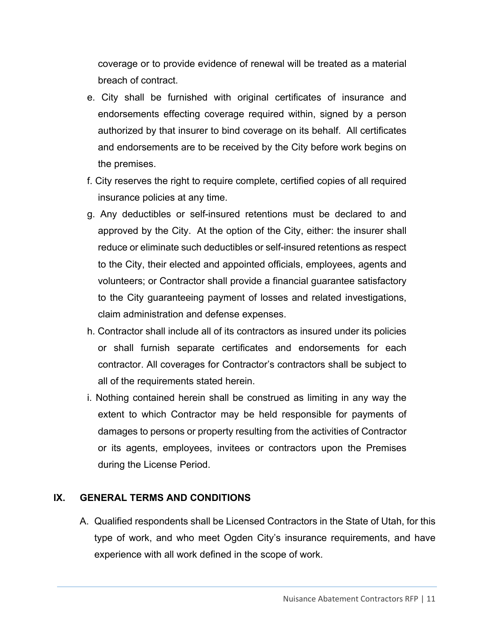coverage or to provide evidence of renewal will be treated as a material breach of contract.

- e. City shall be furnished with original certificates of insurance and endorsements effecting coverage required within, signed by a person authorized by that insurer to bind coverage on its behalf. All certificates and endorsements are to be received by the City before work begins on the premises.
- f. City reserves the right to require complete, certified copies of all required insurance policies at any time.
- g. Any deductibles or self-insured retentions must be declared to and approved by the City. At the option of the City, either: the insurer shall reduce or eliminate such deductibles or self-insured retentions as respect to the City, their elected and appointed officials, employees, agents and volunteers; or Contractor shall provide a financial guarantee satisfactory to the City guaranteeing payment of losses and related investigations, claim administration and defense expenses.
- h. Contractor shall include all of its contractors as insured under its policies or shall furnish separate certificates and endorsements for each contractor. All coverages for Contractor's contractors shall be subject to all of the requirements stated herein.
- i. Nothing contained herein shall be construed as limiting in any way the extent to which Contractor may be held responsible for payments of damages to persons or property resulting from the activities of Contractor or its agents, employees, invitees or contractors upon the Premises during the License Period.

#### **IX. GENERAL TERMS AND CONDITIONS**

A. Qualified respondents shall be Licensed Contractors in the State of Utah, for this type of work, and who meet Ogden City's insurance requirements, and have experience with all work defined in the scope of work.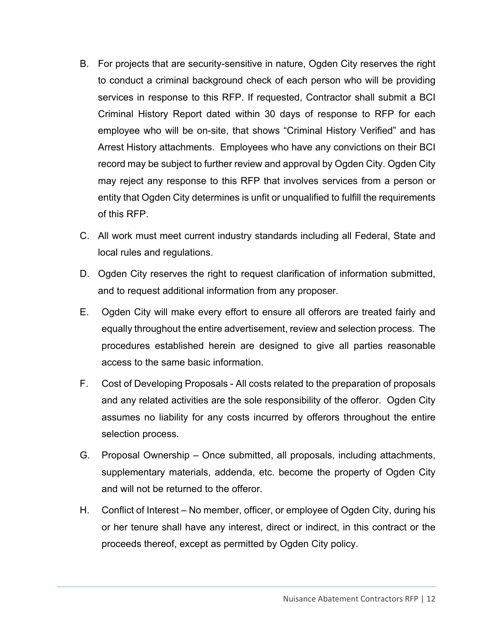- B. For projects that are security-sensitive in nature, Ogden City reserves the right to conduct a criminal background check of each person who will be providing services in response to this RFP. If requested, Contractor shall submit a BCI Criminal History Report dated within 30 days of response to RFP for each employee who will be on-site, that shows "Criminal History Verified" and has Arrest History attachments. Employees who have any convictions on their BCI record may be subject to further review and approval by Ogden City. Ogden City may reject any response to this RFP that involves services from a person or entity that Ogden City determines is unfit or unqualified to fulfill the requirements of this RFP.
- C. All work must meet current industry standards including all Federal, State and local rules and regulations.
- D. Ogden City reserves the right to request clarification of information submitted, and to request additional information from any proposer.
- E. Ogden City will make every effort to ensure all offerors are treated fairly and equally throughout the entire advertisement, review and selection process. The procedures established herein are designed to give all parties reasonable access to the same basic information.
- F. Cost of Developing Proposals All costs related to the preparation of proposals and any related activities are the sole responsibility of the offeror. Ogden City assumes no liability for any costs incurred by offerors throughout the entire selection process.
- G. Proposal Ownership Once submitted, all proposals, including attachments, supplementary materials, addenda, etc. become the property of Ogden City and will not be returned to the offeror.
- H. Conflict of Interest No member, officer, or employee of Ogden City, during his or her tenure shall have any interest, direct or indirect, in this contract or the proceeds thereof, except as permitted by Ogden City policy.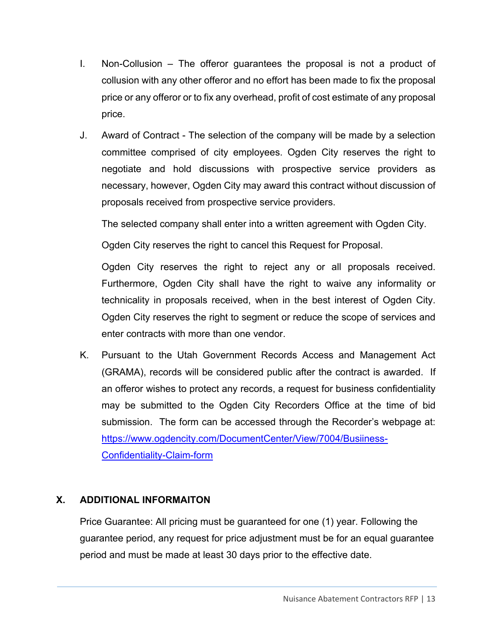- I. Non-Collusion The offeror guarantees the proposal is not a product of collusion with any other offeror and no effort has been made to fix the proposal price or any offeror or to fix any overhead, profit of cost estimate of any proposal price.
- J. Award of Contract The selection of the company will be made by a selection committee comprised of city employees. Ogden City reserves the right to negotiate and hold discussions with prospective service providers as necessary, however, Ogden City may award this contract without discussion of proposals received from prospective service providers.

The selected company shall enter into a written agreement with Ogden City.

Ogden City reserves the right to cancel this Request for Proposal.

Ogden City reserves the right to reject any or all proposals received. Furthermore, Ogden City shall have the right to waive any informality or technicality in proposals received, when in the best interest of Ogden City. Ogden City reserves the right to segment or reduce the scope of services and enter contracts with more than one vendor.

K. Pursuant to the Utah Government Records Access and Management Act (GRAMA), records will be considered public after the contract is awarded. If an offeror wishes to protect any records, a request for business confidentiality may be submitted to the Ogden City Recorders Office at the time of bid submission. The form can be accessed through the Recorder's webpage at: https://www.ogdencity.com/DocumentCenter/View/7004/Busiiness-Confidentiality-Claim-form

### **X. ADDITIONAL INFORMAITON**

Price Guarantee: All pricing must be guaranteed for one (1) year. Following the guarantee period, any request for price adjustment must be for an equal guarantee period and must be made at least 30 days prior to the effective date.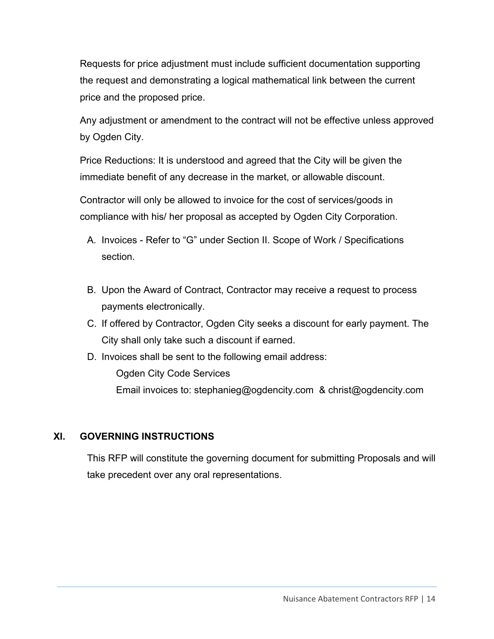Requests for price adjustment must include sufficient documentation supporting the request and demonstrating a logical mathematical link between the current price and the proposed price.

Any adjustment or amendment to the contract will not be effective unless approved by Ogden City.

Price Reductions: It is understood and agreed that the City will be given the immediate benefit of any decrease in the market, or allowable discount.

Contractor will only be allowed to invoice for the cost of services/goods in compliance with his/ her proposal as accepted by Ogden City Corporation.

- A. Invoices Refer to "G" under Section II. Scope of Work / Specifications section.
- B. Upon the Award of Contract, Contractor may receive a request to process payments electronically.
- C. If offered by Contractor, Ogden City seeks a discount for early payment. The City shall only take such a discount if earned.
- D. Invoices shall be sent to the following email address:

Ogden City Code Services

Email invoices to: stephanieg@ogdencity.com & christ@ogdencity.com

### **XI. GOVERNING INSTRUCTIONS**

This RFP will constitute the governing document for submitting Proposals and will take precedent over any oral representations.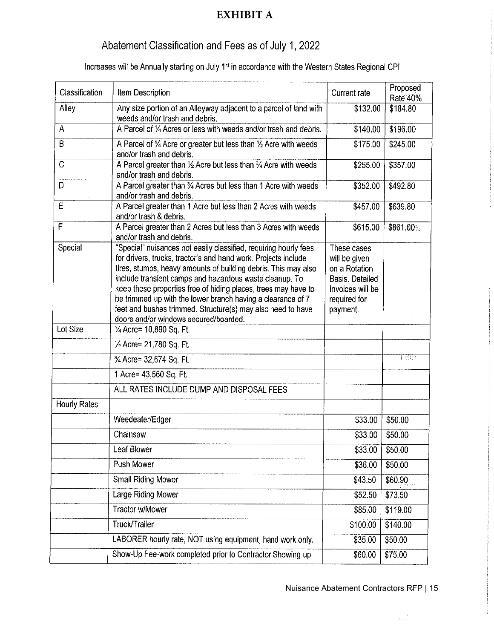# **EXHIBIT A**

# Abatement Classification and Fees as of July 1, 2022

Increases will be Annually starting on July 1<sup>st</sup> in accordance with the Western States Regional CPI

| Classification | Item Description                                                                                                                                                                                                                                                                                                                                                                                                                                                                                         | Current rate                                                                                                     | Proposed<br>Rate 40% |
|----------------|----------------------------------------------------------------------------------------------------------------------------------------------------------------------------------------------------------------------------------------------------------------------------------------------------------------------------------------------------------------------------------------------------------------------------------------------------------------------------------------------------------|------------------------------------------------------------------------------------------------------------------|----------------------|
| Alley          | Any size portion of an Alleyway adjacent to a parcel of land with<br>weeds and/or trash and debris.                                                                                                                                                                                                                                                                                                                                                                                                      | \$132.00                                                                                                         | \$184.80             |
| A              | A Parcel of 1/4 Acres or less with weeds and/or trash and debris.                                                                                                                                                                                                                                                                                                                                                                                                                                        | \$140.00                                                                                                         | \$196.00             |
| B              | A Parcel of 1/4 Acre or greater but less than 1/2 Acre with weeds<br>and/or trash and debris.                                                                                                                                                                                                                                                                                                                                                                                                            | \$175.00                                                                                                         | \$245.00             |
| C              | A Parcel greater than $\frac{1}{2}$ Acre but less than $\frac{3}{4}$ Acre with weeds<br>and/or trash and debris.                                                                                                                                                                                                                                                                                                                                                                                         | \$255.00                                                                                                         | \$357.00             |
| D              | A Parcel greater than 3⁄4 Acres but less than 1 Acre with weeds<br>and/or trash and debris.                                                                                                                                                                                                                                                                                                                                                                                                              | \$352.00                                                                                                         | \$492.80             |
| E              | A Parcel greater than 1 Acre but less than 2 Acres with weeds<br>and/or trash & debris.                                                                                                                                                                                                                                                                                                                                                                                                                  | \$457.00                                                                                                         | \$639.80             |
| F              | A Parcel greater than 2 Acres but less than 3 Acres with weeds<br>and/or trash and debris.                                                                                                                                                                                                                                                                                                                                                                                                               | \$615.00                                                                                                         | \$861.00%            |
| Special        | "Special" nuisances not easily classified, requiring hourly fees<br>for drivers, trucks, tractor's and hand work. Projects include<br>tires, stumps, heavy amounts of building debris. This may also<br>include transient camps and hazardous waste cleanup. To<br>keep these properties free of hiding places, trees may have to<br>be trimmed up with the lower branch having a clearance of 7<br>feet and bushes trimmed. Structure(s) may also need to have<br>doors and/or windows secured/boarded. | These cases<br>will be given<br>on a Rotation<br>Basis. Detailed<br>Invoices will be<br>required for<br>payment. |                      |
| Lot Size       | 1/4 Acre= 10,890 Sq. Ft.                                                                                                                                                                                                                                                                                                                                                                                                                                                                                 |                                                                                                                  |                      |
|                | 1/2 Acre= 21,780 Sq. Ft.                                                                                                                                                                                                                                                                                                                                                                                                                                                                                 |                                                                                                                  |                      |
|                | 3⁄4 Acre= 32,674 Sq. Ft.                                                                                                                                                                                                                                                                                                                                                                                                                                                                                 |                                                                                                                  | 1.003                |
|                | 1 Acre= 43,560 Sq. Ft.                                                                                                                                                                                                                                                                                                                                                                                                                                                                                   |                                                                                                                  |                      |
|                | ALL RATES INCLUDE DUMP AND DISPOSAL FEES                                                                                                                                                                                                                                                                                                                                                                                                                                                                 |                                                                                                                  |                      |
| Hourly Rates   |                                                                                                                                                                                                                                                                                                                                                                                                                                                                                                          |                                                                                                                  |                      |
|                | Weedeater/Edger                                                                                                                                                                                                                                                                                                                                                                                                                                                                                          | \$33.00                                                                                                          | \$50.00              |
|                | Chainsaw                                                                                                                                                                                                                                                                                                                                                                                                                                                                                                 | \$33.00                                                                                                          | \$50.00              |
|                | Leaf Blower                                                                                                                                                                                                                                                                                                                                                                                                                                                                                              | \$33.00                                                                                                          | \$50.00              |
|                | Push Mower                                                                                                                                                                                                                                                                                                                                                                                                                                                                                               | \$36.00                                                                                                          | \$50.00              |
|                | <b>Small Riding Mower</b>                                                                                                                                                                                                                                                                                                                                                                                                                                                                                | \$43.50                                                                                                          | \$60.90              |
|                | Large Riding Mower                                                                                                                                                                                                                                                                                                                                                                                                                                                                                       | \$52.50                                                                                                          | \$73.50              |
|                | Tractor w/Mower                                                                                                                                                                                                                                                                                                                                                                                                                                                                                          | \$85.00                                                                                                          | \$119.00             |
|                | Truck/Trailer                                                                                                                                                                                                                                                                                                                                                                                                                                                                                            | \$100.00                                                                                                         | \$140.00             |
|                | LABORER hourly rate, NOT using equipment, hand work only.                                                                                                                                                                                                                                                                                                                                                                                                                                                | \$35.00                                                                                                          | \$50.00              |
|                | Show-Up Fee-work completed prior to Contractor Showing up                                                                                                                                                                                                                                                                                                                                                                                                                                                | \$60.00                                                                                                          | \$75.00              |

#### Nuisance Abatement Contractors RFP | 15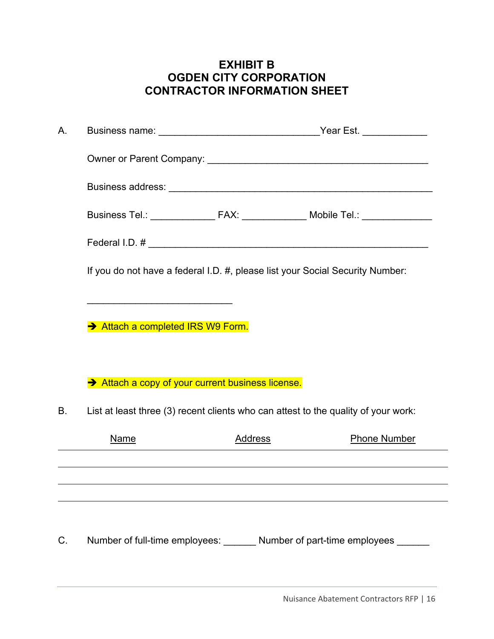# **EXHIBIT B OGDEN CITY CORPORATION CONTRACTOR INFORMATION SHEET**

| А.          |                                                                                    |         |  |                                                                                  |  |
|-------------|------------------------------------------------------------------------------------|---------|--|----------------------------------------------------------------------------------|--|
|             |                                                                                    |         |  |                                                                                  |  |
|             |                                                                                    |         |  |                                                                                  |  |
|             |                                                                                    |         |  |                                                                                  |  |
|             |                                                                                    |         |  |                                                                                  |  |
|             | If you do not have a federal I.D. #, please list your Social Security Number:      |         |  |                                                                                  |  |
|             |                                                                                    |         |  |                                                                                  |  |
|             | Attach a completed IRS W9 Form.                                                    |         |  |                                                                                  |  |
|             |                                                                                    |         |  |                                                                                  |  |
|             | Attach a copy of your current business license.                                    |         |  |                                                                                  |  |
| В.          | List at least three (3) recent clients who can attest to the quality of your work: |         |  |                                                                                  |  |
|             | Name                                                                               | Address |  | <b>Phone Number</b>                                                              |  |
|             |                                                                                    |         |  | ,我们也不会有什么。""我们的人,我们也不会有什么?""我们的人,我们也不会有什么?""我们的人,我们也不会有什么?""我们的人,我们也不会有什么?""我们的人 |  |
|             |                                                                                    |         |  |                                                                                  |  |
|             |                                                                                    |         |  |                                                                                  |  |
| $C_{\cdot}$ | Number of full-time employees: _______ Number of part-time employees ______        |         |  |                                                                                  |  |